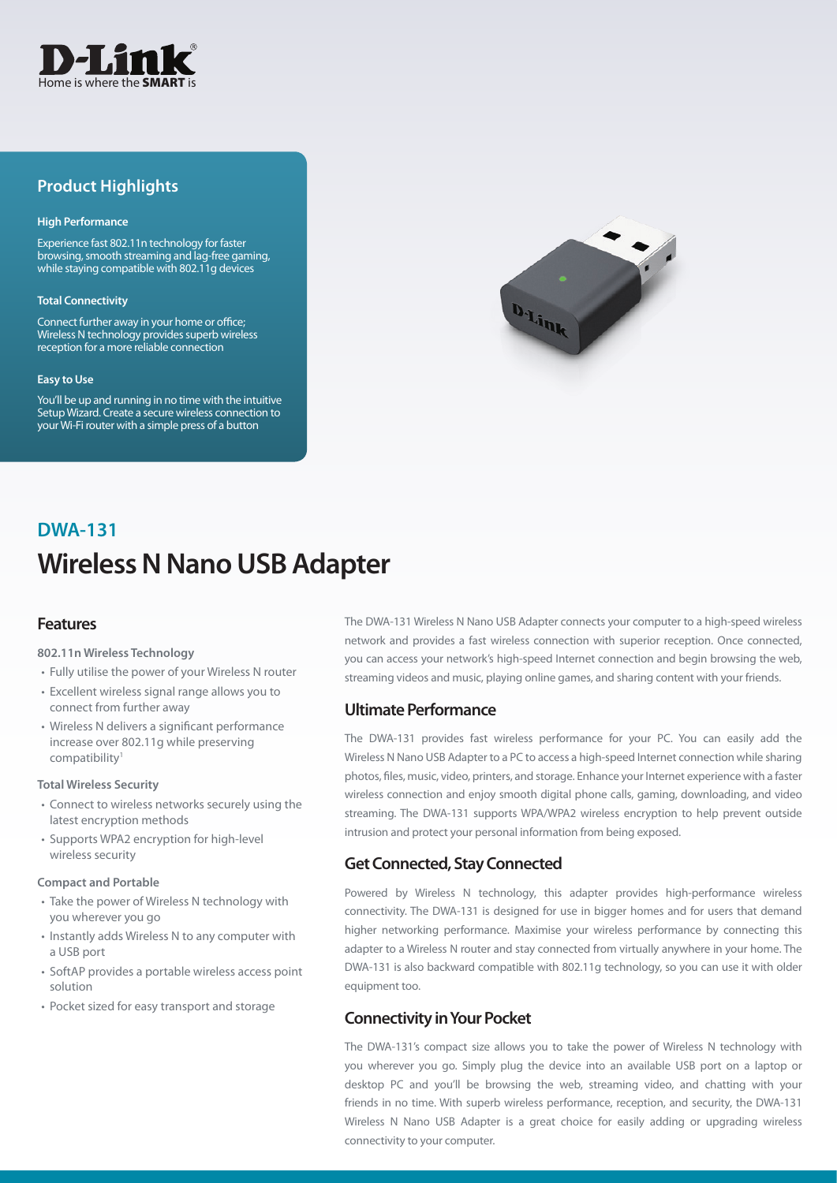

## **Product Highlights**

#### **High Performance**

Experience fast 802.11n technology for faster browsing, smooth streaming and lag-free gaming, while staying compatible with 802.11g devices

#### **Total Connectivity**

Connect further away in your home or office; Wireless N technology provides superb wireless reception for a more reliable connection

#### **Easy to Use**

You'll be up and running in no time with the intuitive Setup Wizard. Create a secure wireless connection to your Wi-Fi router with a simple press of a button



# **Wireless N Nano USB Adapter DWA-131**

## **Features**

#### **802.11n Wireless Technology**

- Fully utilise the power of your Wireless N router
- Excellent wireless signal range allows you to connect from further away
- Wireless N delivers a significant performance increase over 802.11g while preserving compatibility1

#### **Total Wireless Security**

- Connect to wireless networks securely using the latest encryption methods
- Supports WPA2 encryption for high-level wireless security

#### **Compact and Portable**

- Take the power of Wireless N technology with you wherever you go
- Instantly adds Wireless N to any computer with a USB port
- SoftAP provides a portable wireless access point solution
- Pocket sized for easy transport and storage

The DWA-131 Wireless N Nano USB Adapter connects your computer to a high-speed wireless network and provides a fast wireless connection with superior reception. Once connected, you can access your network's high-speed Internet connection and begin browsing the web, streaming videos and music, playing online games, and sharing content with your friends.

### **Ultimate Performance**

The DWA-131 provides fast wireless performance for your PC. You can easily add the Wireless N Nano USB Adapter to a PC to access a high-speed Internet connection while sharing photos, files, music, video, printers, and storage. Enhance your Internet experience with a faster wireless connection and enjoy smooth digital phone calls, gaming, downloading, and video streaming. The DWA-131 supports WPA/WPA2 wireless encryption to help prevent outside intrusion and protect your personal information from being exposed.

## **Get Connected, Stay Connected**

Powered by Wireless N technology, this adapter provides high-performance wireless connectivity. The DWA-131 is designed for use in bigger homes and for users that demand higher networking performance. Maximise your wireless performance by connecting this adapter to a Wireless N router and stay connected from virtually anywhere in your home. The DWA-131 is also backward compatible with 802.11g technology, so you can use it with older equipment too.

## **Connectivity in Your Pocket**

The DWA-131's compact size allows you to take the power of Wireless N technology with you wherever you go. Simply plug the device into an available USB port on a laptop or desktop PC and you'll be browsing the web, streaming video, and chatting with your friends in no time. With superb wireless performance, reception, and security, the DWA-131 Wireless N Nano USB Adapter is a great choice for easily adding or upgrading wireless connectivity to your computer.